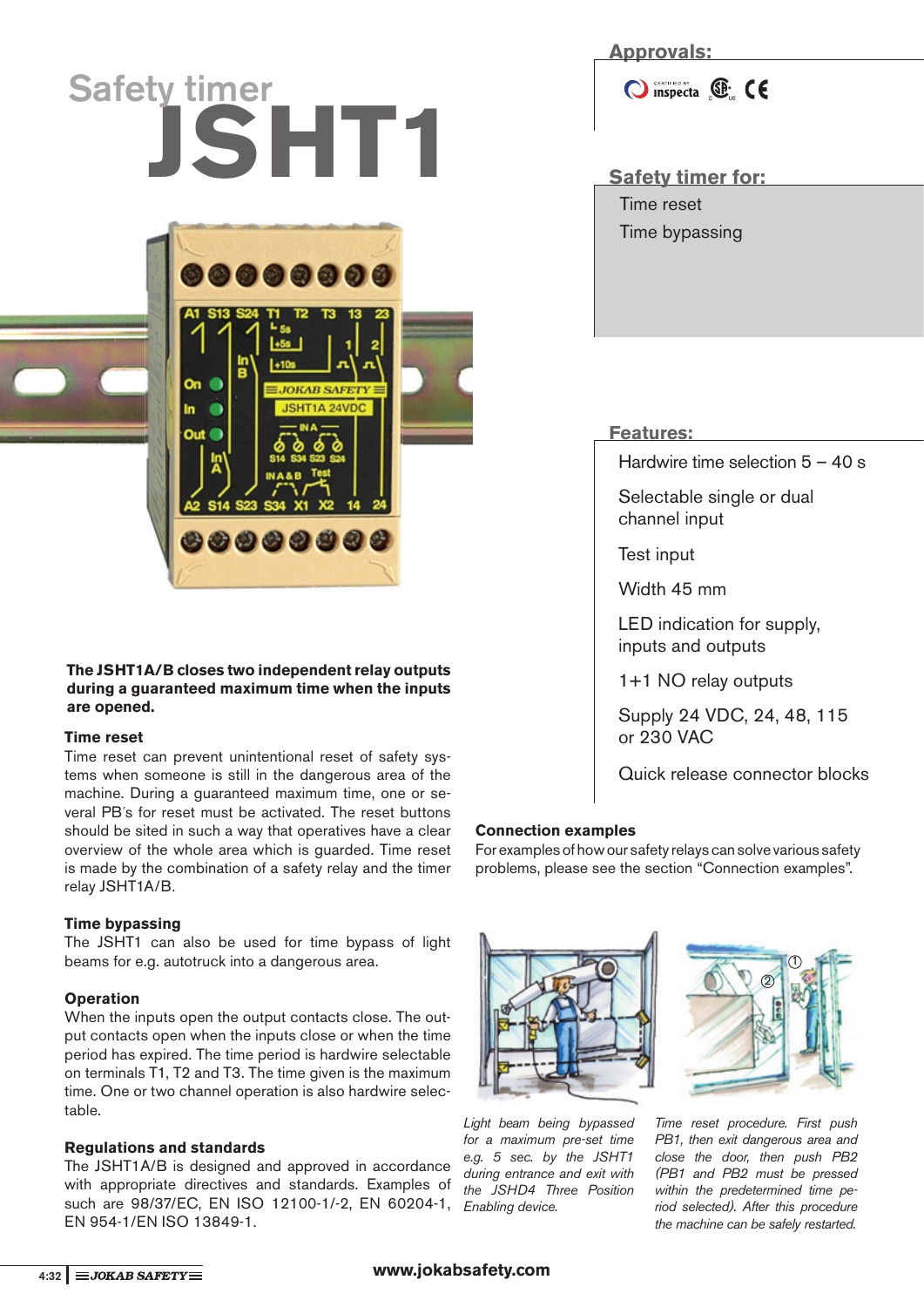# **JSHT1** Safety timer for: **Safety timer**



### **The JSHT1A/B closes two independent relay outputs during a guaranteed maximum time when the inputs are opened.**

### **Time reset**

Time reset can prevent unintentional reset of safety systems when someone is still in the dangerous area of the machine. During a guaranteed maximum time, one or several PB´s for reset must be activated. The reset buttons should be sited in such a way that operatives have a clear overview of the whole area which is guarded. Time reset is made by the combination of a safety relay and the timer relay JSHT1A/B.

### **Time bypassing**

The JSHT1 can also be used for time bypass of light beams for e.g. autotruck into a dangerous area.

### **Operation**

When the inputs open the output contacts close. The output contacts open when the inputs close or when the time period has expired. The time period is hardwire selectable on terminals T1, T2 and T3. The time given is the maximum time. One or two channel operation is also hardwire selectable.

### **Regulations and standards**

such are 98/37/EC, EN ISO 12100-1/-2, EN 60204-1, Enabling device. The JSHT1A/B is designed and approved in accordance with appropriate directives and standards. Examples of EN 954-1/EN ISO 13849-1.

# **Approvals:**

O inspecta **E** CE

Time reset Time bypassing

# **Features:**

Hardwire time selection 5 – 40 s

Selectable single or dual channel input

Test input

Width 45 mm

LED indication for supply, inputs and outputs

1+1 NO relay outputs

Supply 24 VDC, 24, 48, 115 or 230 VAC

Quick release connector blocks

# **Connection examples**

For examples of how our safety relays can solve various safety problems, please see the section "Connection examples".



Light beam being bypassed for a maximum pre-set time e.g. 5 sec. by the JSHT1 during entrance and exit with the JSHD4 Three Position



Time reset procedure. First push PB1, then exit dangerous area and close the door, then push PB2 (PB1 and PB2 must be pressed within the predetermined time period selected). After this procedure the machine can be safely restarted.